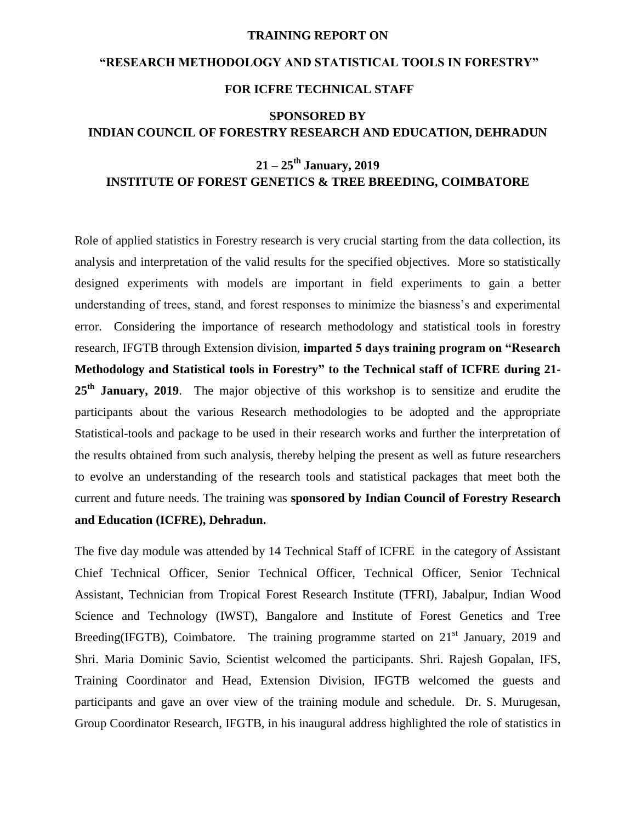#### **TRAINING REPORT ON**

# **"RESEARCH METHODOLOGY AND STATISTICAL TOOLS IN FORESTRY" FOR ICFRE TECHNICAL STAFF**

## **SPONSORED BY INDIAN COUNCIL OF FORESTRY RESEARCH AND EDUCATION, DEHRADUN**

## **21 – 25th January, 2019 INSTITUTE OF FOREST GENETICS & TREE BREEDING, COIMBATORE**

Role of applied statistics in Forestry research is very crucial starting from the data collection, its analysis and interpretation of the valid results for the specified objectives. More so statistically designed experiments with models are important in field experiments to gain a better understanding of trees, stand, and forest responses to minimize the biasness's and experimental error. Considering the importance of research methodology and statistical tools in forestry research, IFGTB through Extension division, **imparted 5 days training program on "Research Methodology and Statistical tools in Forestry" to the Technical staff of ICFRE during 21- 25th January, 2019**. The major objective of this workshop is to sensitize and erudite the participants about the various Research methodologies to be adopted and the appropriate Statistical-tools and package to be used in their research works and further the interpretation of the results obtained from such analysis, thereby helping the present as well as future researchers to evolve an understanding of the research tools and statistical packages that meet both the current and future needs. The training was **sponsored by Indian Council of Forestry Research and Education (ICFRE), Dehradun.**

The five day module was attended by 14 Technical Staff of ICFRE in the category of Assistant Chief Technical Officer, Senior Technical Officer, Technical Officer, Senior Technical Assistant, Technician from Tropical Forest Research Institute (TFRI), Jabalpur, Indian Wood Science and Technology (IWST), Bangalore and Institute of Forest Genetics and Tree Breeding(IFGTB), Coimbatore. The training programme started on  $21<sup>st</sup>$  January, 2019 and Shri. Maria Dominic Savio, Scientist welcomed the participants. Shri. Rajesh Gopalan, IFS, Training Coordinator and Head, Extension Division, IFGTB welcomed the guests and participants and gave an over view of the training module and schedule. Dr. S. Murugesan, Group Coordinator Research, IFGTB, in his inaugural address highlighted the role of statistics in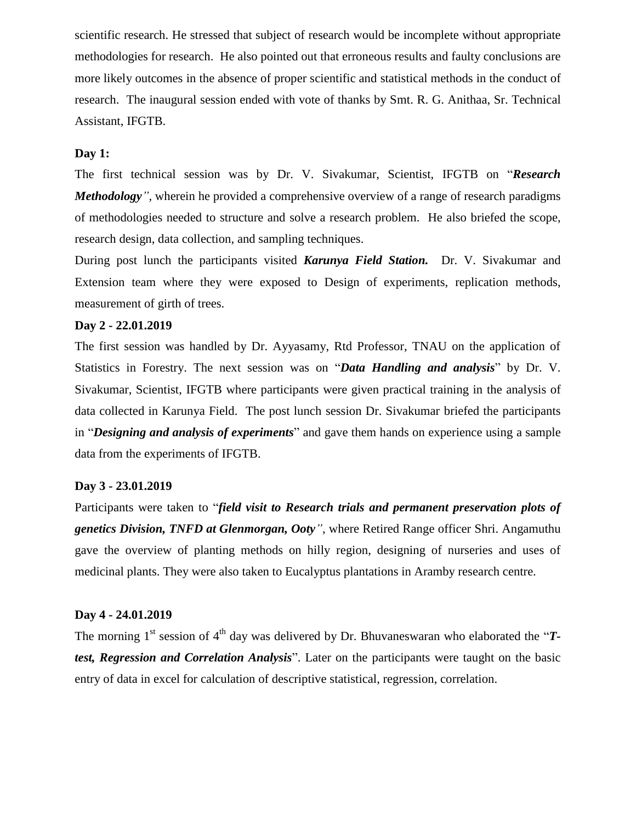scientific research. He stressed that subject of research would be incomplete without appropriate methodologies for research. He also pointed out that erroneous results and faulty conclusions are more likely outcomes in the absence of proper scientific and statistical methods in the conduct of research. The inaugural session ended with vote of thanks by Smt. R. G. Anithaa, Sr. Technical Assistant, IFGTB.

#### **Day 1:**

The first technical session was by Dr. V. Sivakumar, Scientist, IFGTB on "*Research Methodology",* wherein he provided a comprehensive overview of a range of research paradigms of methodologies needed to structure and solve a research problem. He also briefed the scope, research design, data collection, and sampling techniques.

During post lunch the participants visited *Karunya Field Station.* Dr. V. Sivakumar and Extension team where they were exposed to Design of experiments, replication methods, measurement of girth of trees.

### **Day 2 - 22.01.2019**

The first session was handled by Dr. Ayyasamy, Rtd Professor, TNAU on the application of Statistics in Forestry. The next session was on "*Data Handling and analysis*" by Dr. V. Sivakumar, Scientist, IFGTB where participants were given practical training in the analysis of data collected in Karunya Field. The post lunch session Dr. Sivakumar briefed the participants in "*Designing and analysis of experiments*" and gave them hands on experience using a sample data from the experiments of IFGTB.

#### **Day 3 - 23.01.2019**

Participants were taken to "*field visit to Research trials and permanent preservation plots of genetics Division, TNFD at Glenmorgan, Ooty"*, where Retired Range officer Shri. Angamuthu gave the overview of planting methods on hilly region, designing of nurseries and uses of medicinal plants. They were also taken to Eucalyptus plantations in Aramby research centre.

#### **Day 4 - 24.01.2019**

The morning 1<sup>st</sup> session of 4<sup>th</sup> day was delivered by Dr. Bhuvaneswaran who elaborated the "**T***test, Regression and Correlation Analysis*". Later on the participants were taught on the basic entry of data in excel for calculation of descriptive statistical, regression, correlation.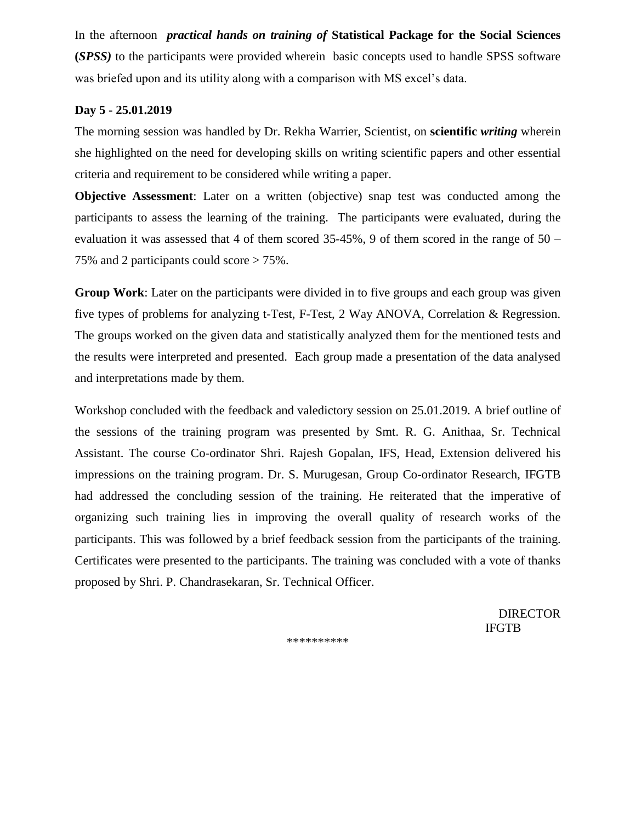In the afternoon *practical hands on training of* **Statistical Package for the Social Sciences (***SPSS)* to the participants were provided wherein basic concepts used to handle SPSS software was briefed upon and its utility along with a comparison with MS excel's data.

### **Day 5 - 25.01.2019**

The morning session was handled by Dr. Rekha Warrier, Scientist, on **scientific** *writing* wherein she highlighted on the need for developing skills on writing scientific papers and other essential criteria and requirement to be considered while writing a paper.

**Objective Assessment**: Later on a written (objective) snap test was conducted among the participants to assess the learning of the training. The participants were evaluated, during the evaluation it was assessed that 4 of them scored 35-45%, 9 of them scored in the range of 50 – 75% and 2 participants could score > 75%.

**Group Work**: Later on the participants were divided in to five groups and each group was given five types of problems for analyzing t-Test, F-Test, 2 Way ANOVA, Correlation & Regression. The groups worked on the given data and statistically analyzed them for the mentioned tests and the results were interpreted and presented. Each group made a presentation of the data analysed and interpretations made by them.

Workshop concluded with the feedback and valedictory session on 25.01.2019. A brief outline of the sessions of the training program was presented by Smt. R. G. Anithaa, Sr. Technical Assistant. The course Co-ordinator Shri. Rajesh Gopalan, IFS, Head, Extension delivered his impressions on the training program. Dr. S. Murugesan, Group Co-ordinator Research, IFGTB had addressed the concluding session of the training. He reiterated that the imperative of organizing such training lies in improving the overall quality of research works of the participants. This was followed by a brief feedback session from the participants of the training. Certificates were presented to the participants. The training was concluded with a vote of thanks proposed by Shri. P. Chandrasekaran, Sr. Technical Officer.

DIRECTOR IFGTB

\*\*\*\*\*\*\*\*\*\*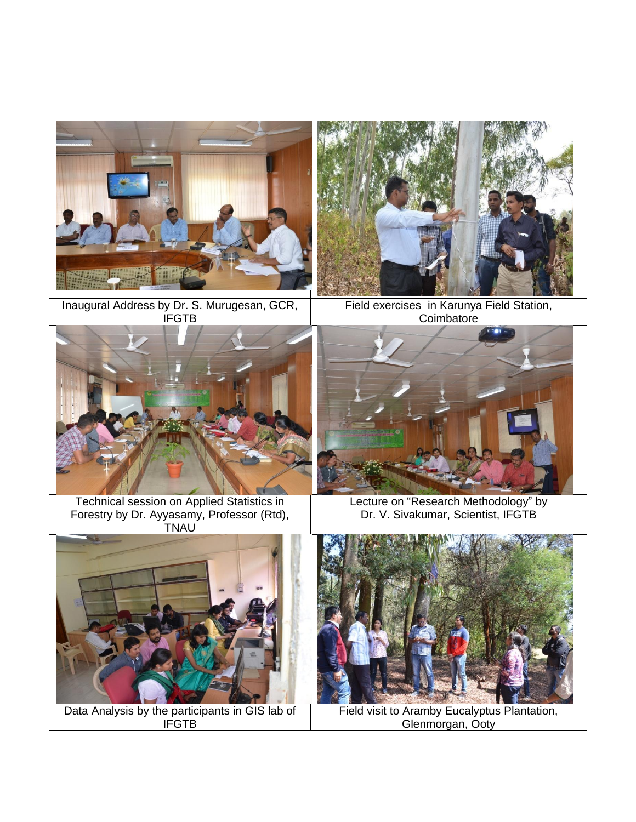

Inaugural Address by Dr. S. Murugesan, GCR, **IFGTB** 



Field exercises in Karunya Field Station, **Coimbatore** 



Technical session on Applied Statistics in Forestry by Dr. Ayyasamy, Professor (Rtd), TNAU



Lecture on "Research Methodology" by Dr. V. Sivakumar, Scientist, IFGTB



Data Analysis by the participants in GIS lab of IFGTB



Field visit to Aramby Eucalyptus Plantation, Glenmorgan, Ooty